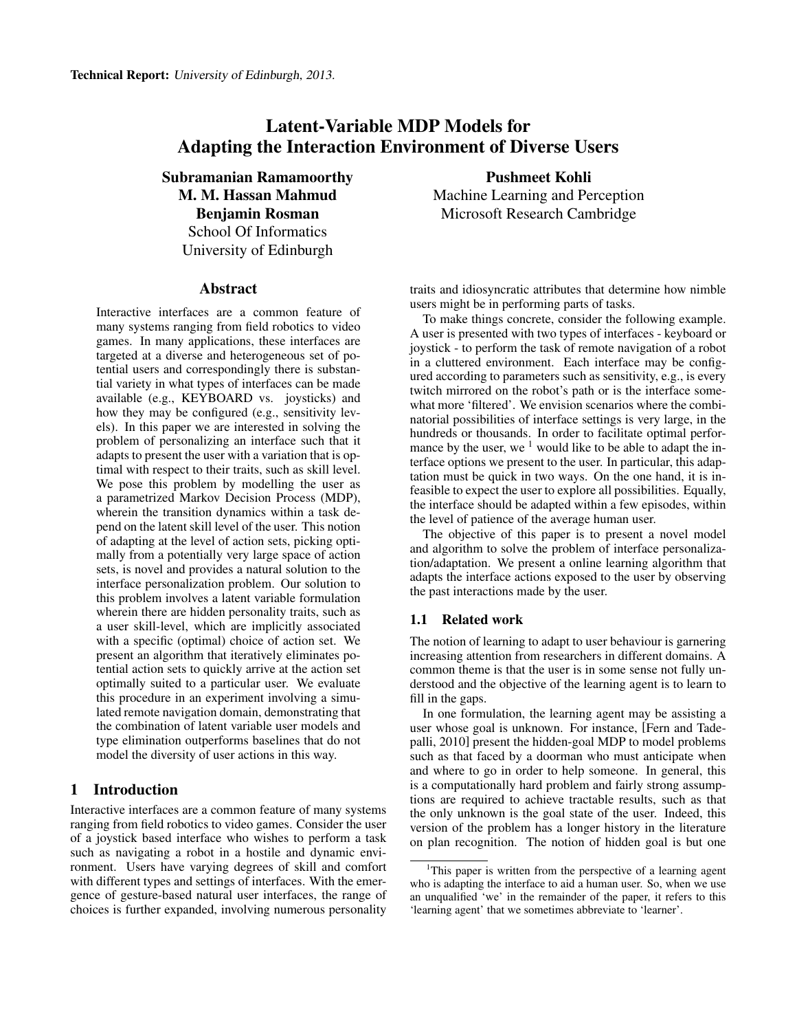# Latent-Variable MDP Models for Adapting the Interaction Environment of Diverse Users

Subramanian Ramamoorthy M. M. Hassan Mahmud Benjamin Rosman School Of Informatics University of Edinburgh

#### Abstract

Interactive interfaces are a common feature of many systems ranging from field robotics to video games. In many applications, these interfaces are targeted at a diverse and heterogeneous set of potential users and correspondingly there is substantial variety in what types of interfaces can be made available (e.g., KEYBOARD vs. joysticks) and how they may be configured (e.g., sensitivity levels). In this paper we are interested in solving the problem of personalizing an interface such that it adapts to present the user with a variation that is optimal with respect to their traits, such as skill level. We pose this problem by modelling the user as a parametrized Markov Decision Process (MDP), wherein the transition dynamics within a task depend on the latent skill level of the user. This notion of adapting at the level of action sets, picking optimally from a potentially very large space of action sets, is novel and provides a natural solution to the interface personalization problem. Our solution to this problem involves a latent variable formulation wherein there are hidden personality traits, such as a user skill-level, which are implicitly associated with a specific (optimal) choice of action set. We present an algorithm that iteratively eliminates potential action sets to quickly arrive at the action set optimally suited to a particular user. We evaluate this procedure in an experiment involving a simulated remote navigation domain, demonstrating that the combination of latent variable user models and type elimination outperforms baselines that do not model the diversity of user actions in this way.

## 1 Introduction

Interactive interfaces are a common feature of many systems ranging from field robotics to video games. Consider the user of a joystick based interface who wishes to perform a task such as navigating a robot in a hostile and dynamic environment. Users have varying degrees of skill and comfort with different types and settings of interfaces. With the emergence of gesture-based natural user interfaces, the range of choices is further expanded, involving numerous personality

Pushmeet Kohli Machine Learning and Perception Microsoft Research Cambridge

traits and idiosyncratic attributes that determine how nimble users might be in performing parts of tasks.

To make things concrete, consider the following example. A user is presented with two types of interfaces - keyboard or joystick - to perform the task of remote navigation of a robot in a cluttered environment. Each interface may be configured according to parameters such as sensitivity, e.g., is every twitch mirrored on the robot's path or is the interface somewhat more 'filtered'. We envision scenarios where the combinatorial possibilities of interface settings is very large, in the hundreds or thousands. In order to facilitate optimal performance by the user, we  $1$  would like to be able to adapt the interface options we present to the user. In particular, this adaptation must be quick in two ways. On the one hand, it is infeasible to expect the user to explore all possibilities. Equally, the interface should be adapted within a few episodes, within the level of patience of the average human user.

The objective of this paper is to present a novel model and algorithm to solve the problem of interface personalization/adaptation. We present a online learning algorithm that adapts the interface actions exposed to the user by observing the past interactions made by the user.

## 1.1 Related work

The notion of learning to adapt to user behaviour is garnering increasing attention from researchers in different domains. A common theme is that the user is in some sense not fully understood and the objective of the learning agent is to learn to fill in the gaps.

In one formulation, the learning agent may be assisting a user whose goal is unknown. For instance, [Fern and Tadepalli, 2010] present the hidden-goal MDP to model problems such as that faced by a doorman who must anticipate when and where to go in order to help someone. In general, this is a computationally hard problem and fairly strong assumptions are required to achieve tractable results, such as that the only unknown is the goal state of the user. Indeed, this version of the problem has a longer history in the literature on plan recognition. The notion of hidden goal is but one

<sup>&</sup>lt;sup>1</sup>This paper is written from the perspective of a learning agent who is adapting the interface to aid a human user. So, when we use an unqualified 'we' in the remainder of the paper, it refers to this 'learning agent' that we sometimes abbreviate to 'learner'.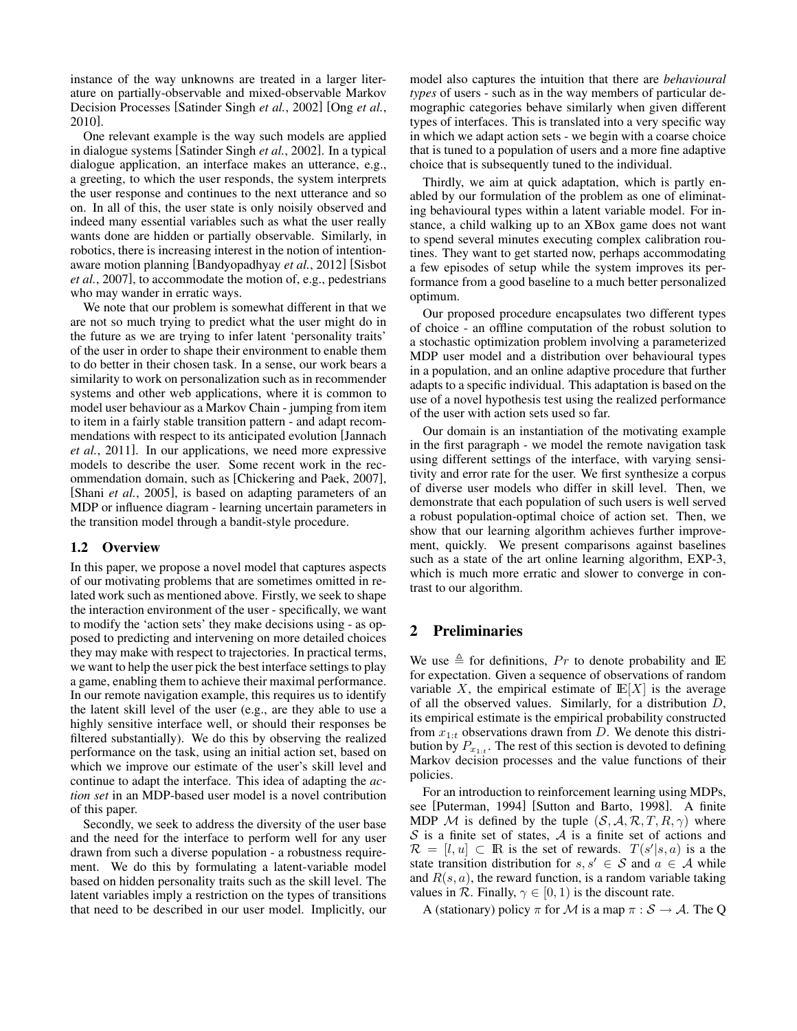instance of the way unknowns are treated in a larger literature on partially-observable and mixed-observable Markov Decision Processes [Satinder Singh *et al.*, 2002] [Ong *et al.*, 2010].

One relevant example is the way such models are applied in dialogue systems [Satinder Singh *et al.*, 2002]. In a typical dialogue application, an interface makes an utterance, e.g., a greeting, to which the user responds, the system interprets the user response and continues to the next utterance and so on. In all of this, the user state is only noisily observed and indeed many essential variables such as what the user really wants done are hidden or partially observable. Similarly, in robotics, there is increasing interest in the notion of intentionaware motion planning [Bandyopadhyay *et al.*, 2012] [Sisbot *et al.*, 2007], to accommodate the motion of, e.g., pedestrians who may wander in erratic ways.

We note that our problem is somewhat different in that we are not so much trying to predict what the user might do in the future as we are trying to infer latent 'personality traits' of the user in order to shape their environment to enable them to do better in their chosen task. In a sense, our work bears a similarity to work on personalization such as in recommender systems and other web applications, where it is common to model user behaviour as a Markov Chain - jumping from item to item in a fairly stable transition pattern - and adapt recommendations with respect to its anticipated evolution [Jannach *et al.*, 2011]. In our applications, we need more expressive models to describe the user. Some recent work in the recommendation domain, such as [Chickering and Paek, 2007], [Shani *et al.*, 2005], is based on adapting parameters of an MDP or influence diagram - learning uncertain parameters in the transition model through a bandit-style procedure.

## 1.2 Overview

In this paper, we propose a novel model that captures aspects of our motivating problems that are sometimes omitted in related work such as mentioned above. Firstly, we seek to shape the interaction environment of the user - specifically, we want to modify the 'action sets' they make decisions using - as opposed to predicting and intervening on more detailed choices they may make with respect to trajectories. In practical terms, we want to help the user pick the best interface settings to play a game, enabling them to achieve their maximal performance. In our remote navigation example, this requires us to identify the latent skill level of the user (e.g., are they able to use a highly sensitive interface well, or should their responses be filtered substantially). We do this by observing the realized performance on the task, using an initial action set, based on which we improve our estimate of the user's skill level and continue to adapt the interface. This idea of adapting the *action set* in an MDP-based user model is a novel contribution of this paper.

Secondly, we seek to address the diversity of the user base and the need for the interface to perform well for any user drawn from such a diverse population - a robustness requirement. We do this by formulating a latent-variable model based on hidden personality traits such as the skill level. The latent variables imply a restriction on the types of transitions that need to be described in our user model. Implicitly, our model also captures the intuition that there are *behavioural types* of users - such as in the way members of particular demographic categories behave similarly when given different types of interfaces. This is translated into a very specific way in which we adapt action sets - we begin with a coarse choice that is tuned to a population of users and a more fine adaptive choice that is subsequently tuned to the individual.

Thirdly, we aim at quick adaptation, which is partly enabled by our formulation of the problem as one of eliminating behavioural types within a latent variable model. For instance, a child walking up to an XBox game does not want to spend several minutes executing complex calibration routines. They want to get started now, perhaps accommodating a few episodes of setup while the system improves its performance from a good baseline to a much better personalized optimum.

Our proposed procedure encapsulates two different types of choice - an offline computation of the robust solution to a stochastic optimization problem involving a parameterized MDP user model and a distribution over behavioural types in a population, and an online adaptive procedure that further adapts to a specific individual. This adaptation is based on the use of a novel hypothesis test using the realized performance of the user with action sets used so far.

Our domain is an instantiation of the motivating example in the first paragraph - we model the remote navigation task using different settings of the interface, with varying sensitivity and error rate for the user. We first synthesize a corpus of diverse user models who differ in skill level. Then, we demonstrate that each population of such users is well served a robust population-optimal choice of action set. Then, we show that our learning algorithm achieves further improvement, quickly. We present comparisons against baselines such as a state of the art online learning algorithm, EXP-3, which is much more erratic and slower to converge in contrast to our algorithm.

# 2 Preliminaries

We use  $\triangleq$  for definitions, Pr to denote probability and IE for expectation. Given a sequence of observations of random variable X, the empirical estimate of  $E[X]$  is the average of all the observed values. Similarly, for a distribution  $D$ , its empirical estimate is the empirical probability constructed from  $x_{1:t}$  observations drawn from D. We denote this distribution by  $P_{x_{1:t}}$ . The rest of this section is devoted to defining Markov decision processes and the value functions of their policies.

For an introduction to reinforcement learning using MDPs, see [Puterman, 1994] [Sutton and Barto, 1998]. A finite MDP M is defined by the tuple  $(S, A, R, T, R, \gamma)$  where  $S$  is a finite set of states,  $A$  is a finite set of actions and  $\mathcal{R} = [l, u] \subset \mathbb{R}$  is the set of rewards.  $T(s'|s, a)$  is a the state transition distribution for  $s, s' \in S$  and  $a \in A$  while and  $R(s, a)$ , the reward function, is a random variable taking values in  $\mathcal R$ . Finally,  $\gamma \in [0, 1)$  is the discount rate.

A (stationary) policy  $\pi$  for M is a map  $\pi : \mathcal{S} \to \mathcal{A}$ . The Q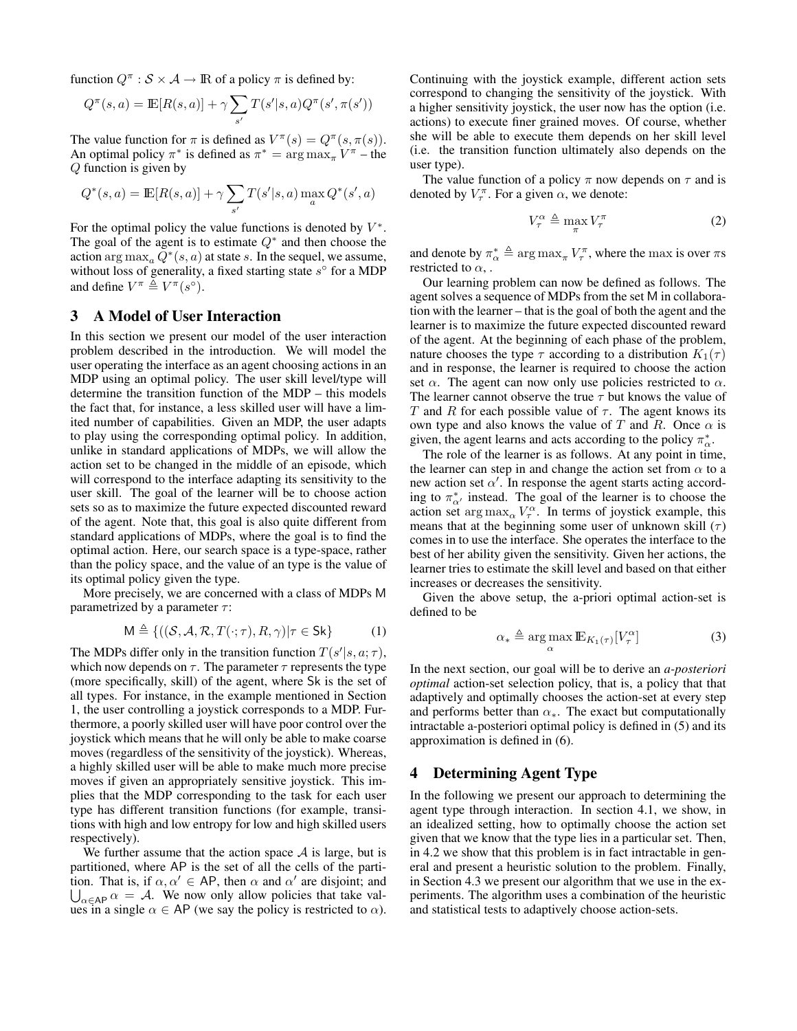function  $Q^{\pi}: \mathcal{S} \times \mathcal{A} \rightarrow \mathbb{R}$  of a policy  $\pi$  is defined by:

$$
Q^{\pi}(s, a) = \mathbb{E}[R(s, a)] + \gamma \sum_{s'} T(s'|s, a) Q^{\pi}(s', \pi(s'))
$$

The value function for  $\pi$  is defined as  $V^{\pi}(s) = Q^{\pi}(s, \pi(s))$ . An optimal policy  $\pi^*$  is defined as  $\pi^* = \arg \max_{\pi} V^{\pi}$  – the Q function is given by

$$
Q^*(s, a) = \mathbb{E}[R(s, a)] + \gamma \sum_{s'} T(s'|s, a) \max_{a} Q^*(s', a)
$$

For the optimal policy the value functions is denoted by  $V^*$ . The goal of the agent is to estimate  $Q^*$  and then choose the action  $\arg \max_a \tilde{Q}^*(s, a)$  at state s. In the sequel, we assume, without loss of generality, a fixed starting state  $s^{\circ}$  for a MDP and define  $V^{\pi} \triangleq V^{\pi}(s^{\circ}).$ 

# 3 A Model of User Interaction

In this section we present our model of the user interaction problem described in the introduction. We will model the user operating the interface as an agent choosing actions in an MDP using an optimal policy. The user skill level/type will determine the transition function of the MDP – this models the fact that, for instance, a less skilled user will have a limited number of capabilities. Given an MDP, the user adapts to play using the corresponding optimal policy. In addition, unlike in standard applications of MDPs, we will allow the action set to be changed in the middle of an episode, which will correspond to the interface adapting its sensitivity to the user skill. The goal of the learner will be to choose action sets so as to maximize the future expected discounted reward of the agent. Note that, this goal is also quite different from standard applications of MDPs, where the goal is to find the optimal action. Here, our search space is a type-space, rather than the policy space, and the value of an type is the value of its optimal policy given the type.

More precisely, we are concerned with a class of MDPs M parametrized by a parameter  $\tau$ :

$$
\mathsf{M} \triangleq \{ ((\mathcal{S}, \mathcal{A}, \mathcal{R}, T(\cdot; \tau), R, \gamma) | \tau \in \mathsf{Sk} \}
$$
(1)

The MDPs differ only in the transition function  $T(s'|s, a; \tau)$ , which now depends on  $\tau$ . The parameter  $\tau$  represents the type (more specifically, skill) of the agent, where Sk is the set of all types. For instance, in the example mentioned in Section 1, the user controlling a joystick corresponds to a MDP. Furthermore, a poorly skilled user will have poor control over the joystick which means that he will only be able to make coarse moves (regardless of the sensitivity of the joystick). Whereas, a highly skilled user will be able to make much more precise moves if given an appropriately sensitive joystick. This implies that the MDP corresponding to the task for each user type has different transition functions (for example, transitions with high and low entropy for low and high skilled users respectively).

We further assume that the action space  $A$  is large, but is partitioned, where AP is the set of all the cells of the partition. That is, if  $\alpha, \alpha' \in AP$ , then  $\alpha$  and  $\alpha'$  are disjoint; and  $\bigcup_{\alpha \in \mathsf{AP}} \alpha = \mathcal{A}$ . We now only allow policies that take values in a single  $\alpha \in AP$  (we say the policy is restricted to  $\alpha$ ). Continuing with the joystick example, different action sets correspond to changing the sensitivity of the joystick. With a higher sensitivity joystick, the user now has the option (i.e. actions) to execute finer grained moves. Of course, whether she will be able to execute them depends on her skill level (i.e. the transition function ultimately also depends on the user type).

The value function of a policy  $\pi$  now depends on  $\tau$  and is denoted by  $V_{\tau}^{\pi}$ . For a given  $\alpha$ , we denote:

$$
V_{\tau}^{\alpha} \triangleq \max_{\pi} V_{\tau}^{\pi} \tag{2}
$$

and denote by  $\pi_{\alpha}^* \triangleq \arg \max_{\pi} V_{\tau}^{\pi}$ , where the max is over  $\pi s$ restricted to  $\alpha$ .

Our learning problem can now be defined as follows. The agent solves a sequence of MDPs from the set M in collaboration with the learner – that is the goal of both the agent and the learner is to maximize the future expected discounted reward of the agent. At the beginning of each phase of the problem, nature chooses the type  $\tau$  according to a distribution  $K_1(\tau)$ and in response, the learner is required to choose the action set  $\alpha$ . The agent can now only use policies restricted to  $\alpha$ . The learner cannot observe the true  $\tau$  but knows the value of T and R for each possible value of  $\tau$ . The agent knows its own type and also knows the value of T and R. Once  $\alpha$  is given, the agent learns and acts according to the policy  $\pi^*_{\alpha}$ .

The role of the learner is as follows. At any point in time, the learner can step in and change the action set from  $\alpha$  to a new action set  $\alpha'$ . In response the agent starts acting according to  $\pi_{\alpha'}^*$  instead. The goal of the learner is to choose the action set  $\arg \max_{\alpha} V_{\tau}^{\alpha}$ . In terms of joystick example, this means that at the beginning some user of unknown skill  $(τ)$ comes in to use the interface. She operates the interface to the best of her ability given the sensitivity. Given her actions, the learner tries to estimate the skill level and based on that either increases or decreases the sensitivity.

Given the above setup, the a-priori optimal action-set is defined to be

$$
\alpha_* \triangleq \argmax_{\alpha} \mathbb{E}_{K_1(\tau)}[V_\tau^\alpha]
$$
 (3)

In the next section, our goal will be to derive an *a-posteriori optimal* action-set selection policy, that is, a policy that that adaptively and optimally chooses the action-set at every step and performs better than  $\alpha_{*}$ . The exact but computationally intractable a-posteriori optimal policy is defined in (5) and its approximation is defined in (6).

# 4 Determining Agent Type

In the following we present our approach to determining the agent type through interaction. In section 4.1, we show, in an idealized setting, how to optimally choose the action set given that we know that the type lies in a particular set. Then, in 4.2 we show that this problem is in fact intractable in general and present a heuristic solution to the problem. Finally, in Section 4.3 we present our algorithm that we use in the experiments. The algorithm uses a combination of the heuristic and statistical tests to adaptively choose action-sets.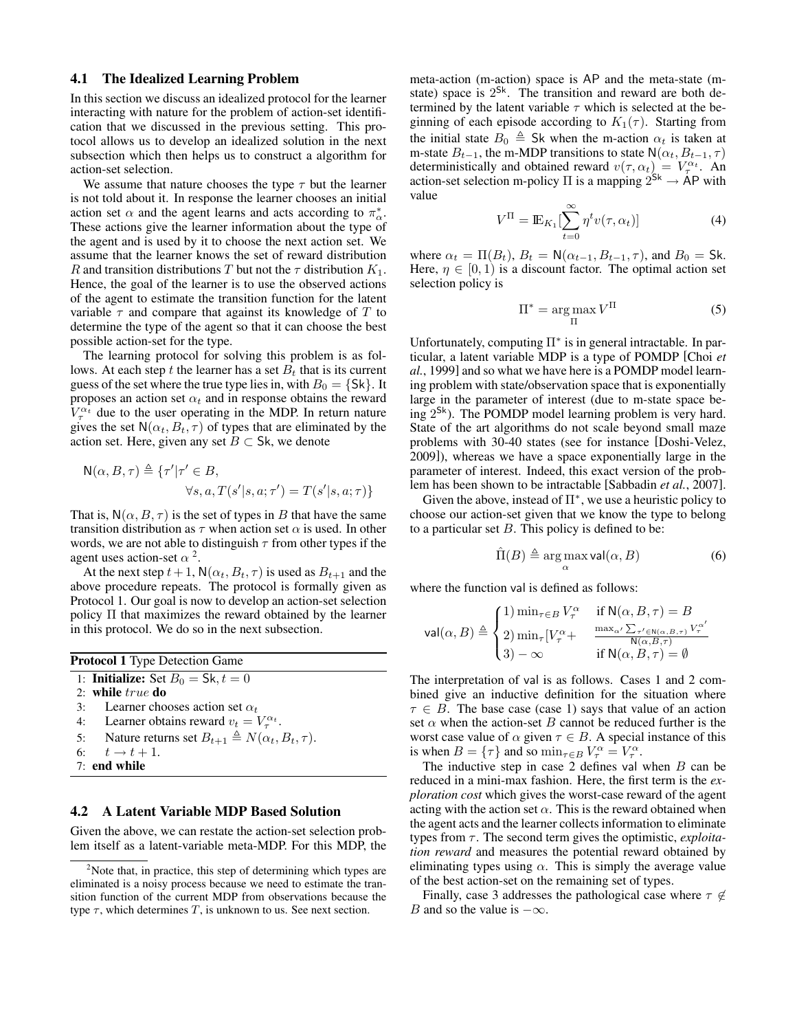#### 4.1 The Idealized Learning Problem

In this section we discuss an idealized protocol for the learner interacting with nature for the problem of action-set identification that we discussed in the previous setting. This protocol allows us to develop an idealized solution in the next subsection which then helps us to construct a algorithm for action-set selection.

We assume that nature chooses the type  $\tau$  but the learner is not told about it. In response the learner chooses an initial action set  $\alpha$  and the agent learns and acts according to  $\pi^*_{\alpha}$ . These actions give the learner information about the type of the agent and is used by it to choose the next action set. We assume that the learner knows the set of reward distribution R and transition distributions T but not the  $\tau$  distribution  $K_1$ . Hence, the goal of the learner is to use the observed actions of the agent to estimate the transition function for the latent variable  $\tau$  and compare that against its knowledge of T to determine the type of the agent so that it can choose the best possible action-set for the type.

The learning protocol for solving this problem is as follows. At each step t the learner has a set  $B_t$  that is its current guess of the set where the true type lies in, with  $B_0 = \{Sk\}$ . It proposes an action set  $\alpha_t$  and in response obtains the reward  $V^{\alpha_t}_{\tau}$  due to the user operating in the MDP. In return nature gives the set  $N(\alpha_t, B_t, \tau)$  of types that are eliminated by the action set. Here, given any set  $B \subset$  Sk, we denote

$$
N(\alpha, B, \tau) \triangleq \{ \tau' | \tau' \in B,
$$
  

$$
\forall s, a, T(s'|s, a; \tau') = T(s'|s, a; \tau) \}
$$

That is,  $N(\alpha, B, \tau)$  is the set of types in B that have the same transition distribution as  $\tau$  when action set  $\alpha$  is used. In other words, we are not able to distinguish  $\tau$  from other types if the agent uses action-set  $\alpha^2$ .

At the next step  $t + 1$ ,  $N(\alpha_t, B_t, \tau)$  is used as  $B_{t+1}$  and the above procedure repeats. The protocol is formally given as Protocol 1. Our goal is now to develop an action-set selection policy Π that maximizes the reward obtained by the learner in this protocol. We do so in the next subsection.

| <b>Protocol 1</b> Type Detection Game |                                                                     |
|---------------------------------------|---------------------------------------------------------------------|
|                                       | 1: <b>Initialize:</b> Set $B_0 = Sk, t = 0$                         |
|                                       | $2:$ while $true$ do                                                |
|                                       | 3: Learner chooses action set $\alpha_t$                            |
|                                       | 4: Learner obtains reward $v_t = V_{\tau}^{\alpha_t}$ .             |
|                                       | 5: Nature returns set $B_{t+1} \triangleq N(\alpha_t, B_t, \tau)$ . |
|                                       | 6: $t \to t + 1$ .                                                  |
| 7: end while                          |                                                                     |

## 4.2 A Latent Variable MDP Based Solution

Given the above, we can restate the action-set selection problem itself as a latent-variable meta-MDP. For this MDP, the meta-action (m-action) space is AP and the meta-state (mstate) space is  $2^{Sk}$ . The transition and reward are both determined by the latent variable  $\tau$  which is selected at the beginning of each episode according to  $K_1(\tau)$ . Starting from the initial state  $B_0 \triangleq$  Sk when the m-action  $\alpha_t$  is taken at m-state  $B_{t-1}$ , the m-MDP transitions to state  $\mathsf{N}(\alpha_t, B_{t-1}, \tau)$ deterministically and obtained reward  $v(\tau, \alpha_t) = V_\tau^{\alpha_t}$ . An action-set selection m-policy  $\Pi$  is a mapping  $2^{Sk} \to AP$  with value

$$
V^{\Pi} = \mathbb{E}_{K_1} \left[ \sum_{t=0}^{\infty} \eta^t v(\tau, \alpha_t) \right]
$$
 (4)

where  $\alpha_t = \Pi(B_t)$ ,  $B_t = \mathsf{N}(\alpha_{t-1}, B_{t-1}, \tau)$ , and  $B_0 = \mathsf{Sk}$ . Here,  $\eta \in [0, 1)$  is a discount factor. The optimal action set selection policy is

$$
\Pi^* = \underset{\Pi}{\text{arg}\max} V^{\Pi} \tag{5}
$$

Unfortunately, computing Π<sup>∗</sup> is in general intractable. In particular, a latent variable MDP is a type of POMDP [Choi *et al.*, 1999] and so what we have here is a POMDP model learning problem with state/observation space that is exponentially large in the parameter of interest (due to m-state space being 2<sup>Sk</sup>). The POMDP model learning problem is very hard. State of the art algorithms do not scale beyond small maze problems with 30-40 states (see for instance [Doshi-Velez, 2009]), whereas we have a space exponentially large in the parameter of interest. Indeed, this exact version of the problem has been shown to be intractable [Sabbadin *et al.*, 2007].

Given the above, instead of  $\Pi^*$ , we use a heuristic policy to choose our action-set given that we know the type to belong to a particular set  $B$ . This policy is defined to be:

$$
\hat{\Pi}(B) \triangleq \arg\max_{\alpha} \text{val}(\alpha, B) \tag{6}
$$

where the function val is defined as follows:

$$
\operatorname{val}\nolimits(\alpha,B) \triangleq \begin{cases} 1) \min_{\tau \in B} V^\alpha_\tau & \text{if } \mathsf{N}(\alpha,B,\tau) = B \\ 2) \min_\tau [V^\alpha_\tau + \quad \frac{\max_{\alpha'} \sum_{\tau' \in \mathsf{N}(\alpha,B,\tau)} V^\alpha_\tau'}{\mathsf{N}(\alpha,B,\tau)} \\ 3) - \infty & \text{if } \mathsf{N}(\alpha,B,\tau) = \emptyset \end{cases}
$$

The interpretation of val is as follows. Cases 1 and 2 combined give an inductive definition for the situation where  $\tau \in B$ . The base case (case 1) says that value of an action set  $\alpha$  when the action-set B cannot be reduced further is the worst case value of  $\alpha$  given  $\tau \in B$ . A special instance of this is when  $B = {\tau}$  and so  $\min_{\tau \in B} V_{\tau}^{\alpha} = V_{\tau}^{\alpha}$ .

The inductive step in case 2 defines val when  $B$  can be reduced in a mini-max fashion. Here, the first term is the *exploration cost* which gives the worst-case reward of the agent acting with the action set  $\alpha$ . This is the reward obtained when the agent acts and the learner collects information to eliminate types from  $\tau$ . The second term gives the optimistic, *exploitation reward* and measures the potential reward obtained by eliminating types using  $\alpha$ . This is simply the average value of the best action-set on the remaining set of types.

Finally, case 3 addresses the pathological case where  $\tau \notin$ B and so the value is  $-\infty$ .

<sup>&</sup>lt;sup>2</sup>Note that, in practice, this step of determining which types are eliminated is a noisy process because we need to estimate the transition function of the current MDP from observations because the type  $\tau$ , which determines T, is unknown to us. See next section.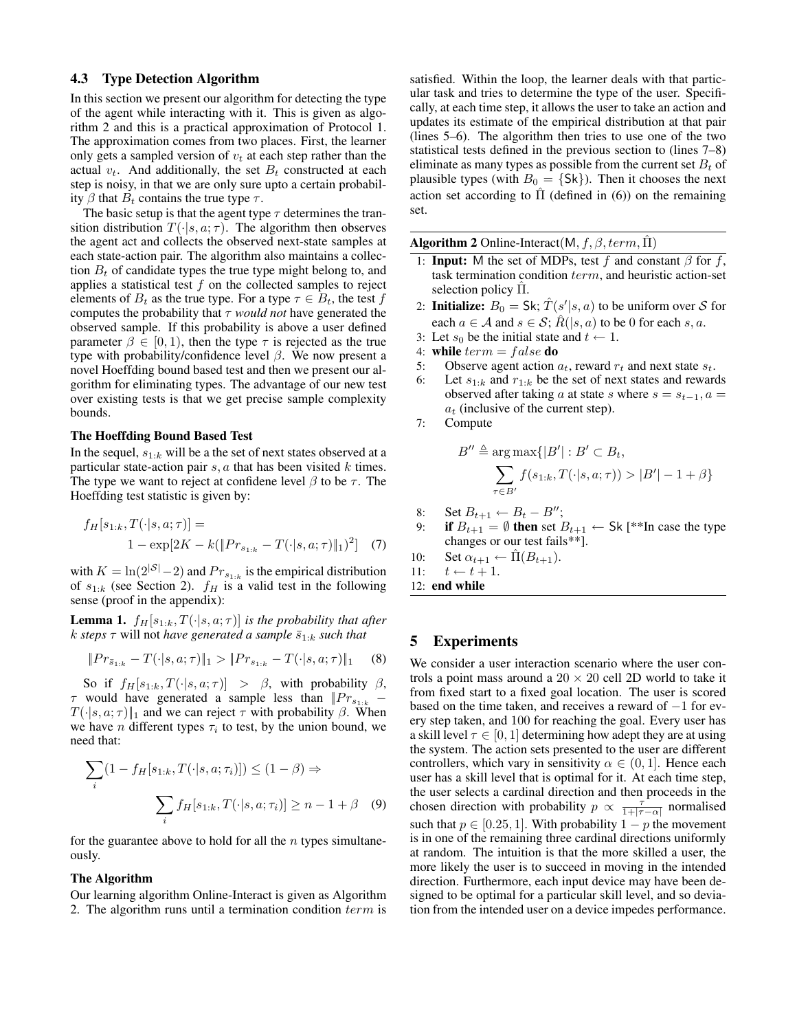#### 4.3 Type Detection Algorithm

In this section we present our algorithm for detecting the type of the agent while interacting with it. This is given as algorithm 2 and this is a practical approximation of Protocol 1. The approximation comes from two places. First, the learner only gets a sampled version of  $v_t$  at each step rather than the actual  $v_t$ . And additionally, the set  $B_t$  constructed at each step is noisy, in that we are only sure upto a certain probability  $\beta$  that  $B_t$  contains the true type  $\tau$ .

The basic setup is that the agent type  $\tau$  determines the transition distribution  $T(\cdot|s, a; \tau)$ . The algorithm then observes the agent act and collects the observed next-state samples at each state-action pair. The algorithm also maintains a collection  $B_t$  of candidate types the true type might belong to, and applies a statistical test  $f$  on the collected samples to reject elements of  $B_t$  as the true type. For a type  $\tau \in B_t$ , the test f computes the probability that  $\tau$  *would not* have generated the observed sample. If this probability is above a user defined parameter  $\beta \in [0, 1)$ , then the type  $\tau$  is rejected as the true type with probability/confidence level  $\beta$ . We now present a novel Hoeffding bound based test and then we present our algorithm for eliminating types. The advantage of our new test over existing tests is that we get precise sample complexity bounds.

#### The Hoeffding Bound Based Test

In the sequel,  $s_{1:k}$  will be a the set of next states observed at a particular state-action pair  $s, a$  that has been visited  $k$  times. The type we want to reject at confidene level  $\beta$  to be  $\tau$ . The Hoeffding test statistic is given by:

$$
f_H[s_{1:k}, T(\cdot|s, a; \tau)] =
$$
  
1 - exp[2K - k(||Pr<sub>s\_{1:k}</sub> - T(\cdot|s, a; \tau)||<sub>1</sub>)<sup>2</sup>] (7)

with  $K = \ln(2^{|S|} - 2)$  and  $Pr_{s_{1:k}}$  is the empirical distribution of  $s_{1:k}$  (see Section 2).  $f_H$  is a valid test in the following sense (proof in the appendix):

**Lemma 1.**  $f_H[s_{1:k}, T(\cdot|s, a; \tau)]$  *is the probability that after k steps*  $\tau$  will not *have generated a sample*  $\bar{s}_{1:k}$  *such that* 

$$
||Pr_{s_{1:k}} - T(\cdot|s, a; \tau)||_1 > ||Pr_{s_{1:k}} - T(\cdot|s, a; \tau)||_1 \quad (8)
$$

So if  $f_H[s_{1:k}, T(\cdot|s, a; \tau)] > \beta$ , with probability  $\beta$ ,  $\tau$  would have generated a sample less than  $|Pr_{s_{1:k}} T(\cdot|s, a; \tau)\|_1$  and we can reject  $\tau$  with probability  $\beta$ . When we have *n* different types  $\tau_i$  to test, by the union bound, we need that:

$$
\sum_{i} (1 - f_H[s_{1:k}, T(\cdot | s, a; \tau_i)]) \le (1 - \beta) \Rightarrow
$$

$$
\sum_{i} f_H[s_{1:k}, T(\cdot | s, a; \tau_i)] \ge n - 1 + \beta \quad (9)
$$

for the guarantee above to hold for all the  $n$  types simultaneously.

#### The Algorithm

Our learning algorithm Online-Interact is given as Algorithm 2. The algorithm runs until a termination condition term is satisfied. Within the loop, the learner deals with that particular task and tries to determine the type of the user. Specifically, at each time step, it allows the user to take an action and updates its estimate of the empirical distribution at that pair (lines 5–6). The algorithm then tries to use one of the two statistical tests defined in the previous section to (lines 7–8) eliminate as many types as possible from the current set  $B_t$  of plausible types (with  $B_0 = \{Sk\}$ ). Then it chooses the next action set according to  $\Pi$  (defined in (6)) on the remaining set.

Algorithm 2 Online-Interact(M,  $f$ ,  $\beta$ , term,  $\Pi$ )

- 1: **Input:** M the set of MDPs, test f and constant  $\beta$  for f, task termination condition term, and heuristic action-set selection policy  $\Pi$ .
- 2: **Initialize:**  $B_0 = \mathsf{Sk}$ ;  $\hat{T}(s'|s, a)$  to be uniform over S for each  $a \in \mathcal{A}$  and  $s \in \mathcal{S}$ ;  $R(|s, a)$  to be 0 for each s, a.
- 3: Let  $s_0$  be the initial state and  $t \leftarrow 1$ .
- 4: while  $term = false$  do
- 5: Observe agent action  $a_t$ , reward  $r_t$  and next state  $s_t$ .
- 6: Let  $s_{1:k}$  and  $r_{1:k}$  be the set of next states and rewards observed after taking a at state s where  $s = s_{t-1}$ ,  $a =$  $a_t$  (inclusive of the current step).
- 7: Compute

$$
B'' \triangleq \arg \max \{|B'| : B' \subset B_t,
$$
  

$$
\sum_{\tau \in B'} f(s_{1:k}, T(\cdot | s, a; \tau)) > |B'| - 1 + \beta\}
$$

- 8: Set  $B_{t+1} \leftarrow B_t B''$ ;
- 9: if  $B_{t+1} = \emptyset$  then set  $B_{t+1} \leftarrow$  Sk [\*\*In case the type changes or our test fails\*\*].

10: Set 
$$
\alpha_{t+1} \leftarrow \hat{\Pi}(B_{t+1})
$$
.

- 11:  $t \leftarrow t + 1$ .
- 12: end while

## 5 Experiments

We consider a user interaction scenario where the user controls a point mass around a  $20 \times 20$  cell 2D world to take it from fixed start to a fixed goal location. The user is scored based on the time taken, and receives a reward of −1 for every step taken, and 100 for reaching the goal. Every user has a skill level  $\tau \in [0, 1]$  determining how adept they are at using the system. The action sets presented to the user are different controllers, which vary in sensitivity  $\alpha \in (0, 1]$ . Hence each user has a skill level that is optimal for it. At each time step, the user selects a cardinal direction and then proceeds in the chosen direction with probability  $p \propto \frac{\tau^2}{1+|\tau-\alpha|}$  normalised such that  $p \in [0.25, 1]$ . With probability  $1 - p$  the movement is in one of the remaining three cardinal directions uniformly at random. The intuition is that the more skilled a user, the more likely the user is to succeed in moving in the intended direction. Furthermore, each input device may have been designed to be optimal for a particular skill level, and so deviation from the intended user on a device impedes performance.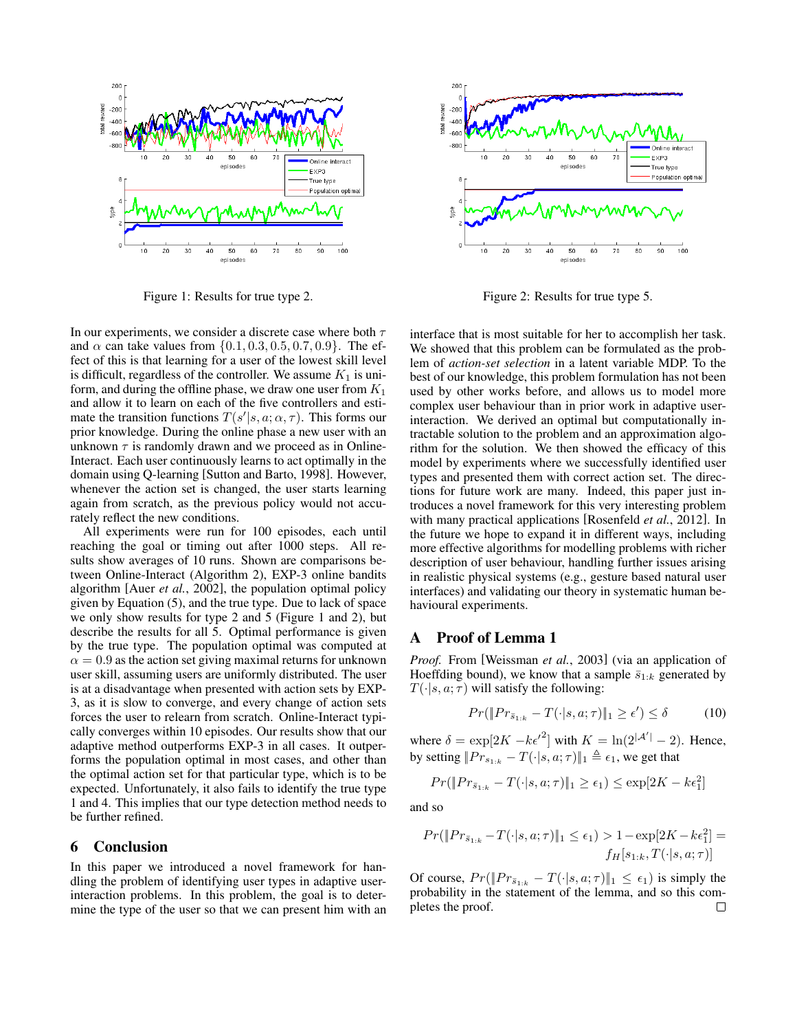

Figure 1: Results for true type 2.

In our experiments, we consider a discrete case where both  $\tau$ and  $\alpha$  can take values from  $\{0.1, 0.3, 0.5, 0.7, 0.9\}$ . The effect of this is that learning for a user of the lowest skill level is difficult, regardless of the controller. We assume  $K_1$  is uniform, and during the offline phase, we draw one user from  $K_1$ and allow it to learn on each of the five controllers and estimate the transition functions  $T(s'|s, a; \alpha, \tau)$ . This forms our prior knowledge. During the online phase a new user with an unknown  $\tau$  is randomly drawn and we proceed as in Online-Interact. Each user continuously learns to act optimally in the domain using Q-learning [Sutton and Barto, 1998]. However, whenever the action set is changed, the user starts learning again from scratch, as the previous policy would not accurately reflect the new conditions.

All experiments were run for 100 episodes, each until reaching the goal or timing out after 1000 steps. All results show averages of 10 runs. Shown are comparisons between Online-Interact (Algorithm 2), EXP-3 online bandits algorithm [Auer *et al.*, 2002], the population optimal policy given by Equation (5), and the true type. Due to lack of space we only show results for type 2 and 5 (Figure 1 and 2), but describe the results for all 5. Optimal performance is given by the true type. The population optimal was computed at  $\alpha = 0.9$  as the action set giving maximal returns for unknown user skill, assuming users are uniformly distributed. The user is at a disadvantage when presented with action sets by EXP-3, as it is slow to converge, and every change of action sets forces the user to relearn from scratch. Online-Interact typically converges within 10 episodes. Our results show that our adaptive method outperforms EXP-3 in all cases. It outperforms the population optimal in most cases, and other than the optimal action set for that particular type, which is to be expected. Unfortunately, it also fails to identify the true type 1 and 4. This implies that our type detection method needs to be further refined.

#### 6 Conclusion

In this paper we introduced a novel framework for handling the problem of identifying user types in adaptive userinteraction problems. In this problem, the goal is to determine the type of the user so that we can present him with an



Figure 2: Results for true type 5.

interface that is most suitable for her to accomplish her task. We showed that this problem can be formulated as the problem of *action-set selection* in a latent variable MDP. To the best of our knowledge, this problem formulation has not been used by other works before, and allows us to model more complex user behaviour than in prior work in adaptive userinteraction. We derived an optimal but computationally intractable solution to the problem and an approximation algorithm for the solution. We then showed the efficacy of this model by experiments where we successfully identified user types and presented them with correct action set. The directions for future work are many. Indeed, this paper just introduces a novel framework for this very interesting problem with many practical applications [Rosenfeld *et al.*, 2012]. In the future we hope to expand it in different ways, including more effective algorithms for modelling problems with richer description of user behaviour, handling further issues arising in realistic physical systems (e.g., gesture based natural user interfaces) and validating our theory in systematic human behavioural experiments.

## A Proof of Lemma 1

*Proof.* From [Weissman *et al.*, 2003] (via an application of Hoeffding bound), we know that a sample  $\bar{s}_{1:k}$  generated by  $T(\cdot|s, a; \tau)$  will satisfy the following:

$$
Pr(\|Pr_{\bar{s}_{1:k}} - T(\cdot|s, a; \tau)\|_1 \ge \epsilon') \le \delta \tag{10}
$$

where  $\delta = \exp[2K - k\epsilon'^2]$  with  $K = \ln(2^{|\mathcal{A}'|} - 2)$ . Hence, by setting  $||Pr_{s_{1:k}} - T(\cdot|s, a; \tau)||_1 \triangleq \epsilon_1$ , we get that

$$
Pr(||Pr_{\bar{s}_{1:k}} - T(\cdot|s, a; \tau)||_1 \ge \epsilon_1) \le \exp[2K - k\epsilon_1^2]
$$

and so

$$
Pr(||Pr_{\bar{s}_{1:k}} - T(\cdot|s, a; \tau)||_1 \le \epsilon_1) > 1 - \exp[2K - k\epsilon_1^2] =
$$
  

$$
f_H[s_{1:k}, T(\cdot|s, a; \tau)]
$$

Of course,  $Pr(\Vert Pr_{\bar{s}_{1:k}} - T(\cdot|s, a; \tau) \Vert_1 \leq \epsilon_1)$  is simply the probability in the statement of the lemma, and so this completes the proof. $\Box$